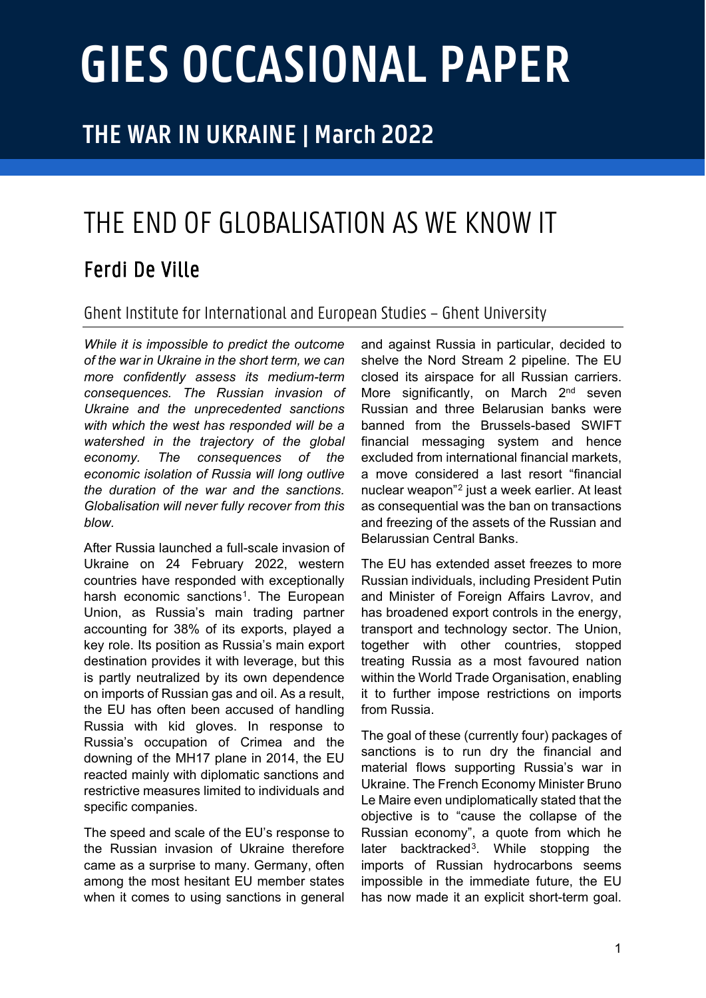# **GIES OCCASIONAL PAPER**

### **THE WAR IN UKRAINE | March 2022**

## THE END OF GLOBALISATION AS WE KNOW IT Ferdi De Ville

#### Ghent Institute for Internationaland European Studies – Ghent University

*While it is impossible to predict the outcome of the war in Ukraine in the short term, we can more confidently assess its medium-term consequences. The Russian invasion of Ukraine and the unprecedented sanctions with which the west has responded will be a watershed in the trajectory of the global economy. The consequences of the economic isolation of Russia will long outlive the duration of the war and the sanctions. Globalisation will never fully recover from this blow.* 

After Russia launched a full-scale invasion of Ukraine on 24 February 2022, western countries have responded with exceptionally harsh economic sanctions<sup>1</sup>. The European Union, as Russia's main trading partner accounting for 38% of its exports, played a key role. Its position as Russia's main export destination provides it with leverage, but this is partly neutralized by its own dependence on imports of Russian gas and oil. As a result, the EU has often been accused of handling Russia with kid gloves. In response to Russia's occupation of Crimea and the downing of the MH17 plane in 2014, the EU reacted mainly with diplomatic sanctions and restrictive measures limited to individuals and specific companies.

The speed and scale of the EU's response to the Russian invasion of Ukraine therefore came as a surprise to many. Germany, often among the most hesitant EU member states when it comes to using sanctions in general and against Russia in particular, decided to shelve the Nord Stream 2 pipeline. The EU closed its airspace for all Russian carriers. More significantly, on March 2<sup>nd</sup> seven Russian and three Belarusian banks were banned from the Brussels-based SWIFT financial messaging system and hence excluded from international financial markets, a move considered a last resort "financial nuclear weapon"[2](#page-3-1) just a week earlier. At least as consequential was the ban on transactions and freezing of the assets of the Russian and Belarussian Central Banks.

The EU has extended asset freezes to more Russian individuals, including President Putin and Minister of Foreign Affairs Lavrov, and has broadened export controls in the energy, transport and technology sector. The Union, together with other countries, stopped treating Russia as a most favoured nation within the World Trade Organisation, enabling it to further impose restrictions on imports from Russia.

The goal of these (currently four) packages of sanctions is to run dry the financial and material flows supporting Russia's war in Ukraine. The French Economy Minister Bruno Le Maire even undiplomatically stated that the objective is to "cause the collapse of the Russian economy", a quote from which he later backtracked<sup>3</sup>. While stopping the imports of Russian hydrocarbons seems impossible in the immediate future, the EU has now made it an explicit short-term goal.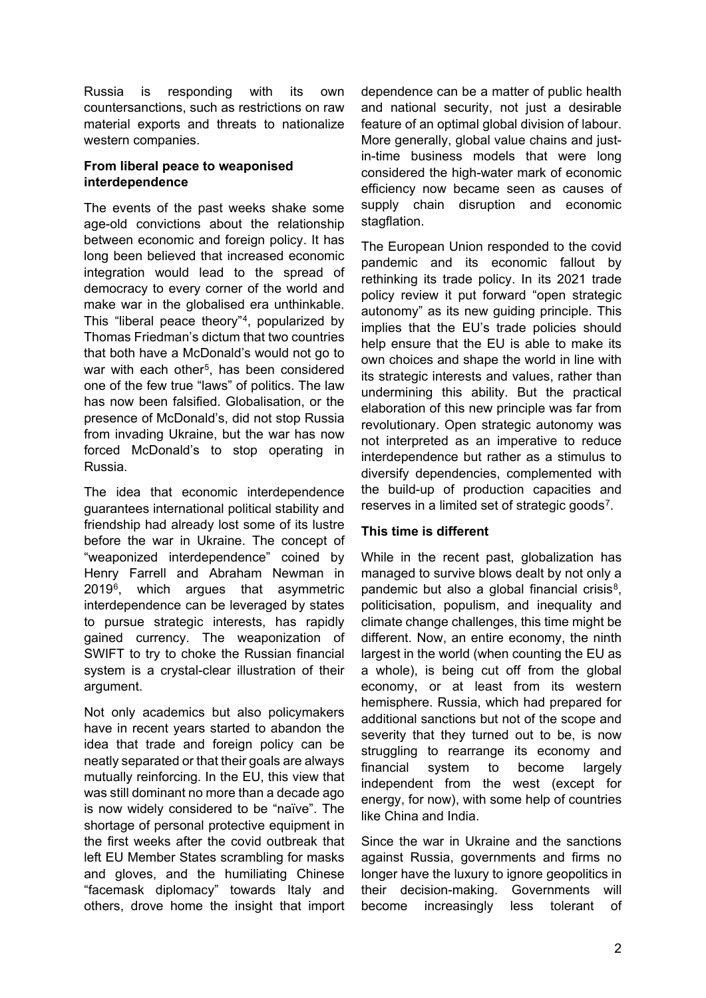Russia is responding with its own countersanctions, such as restrictions on raw material exports and threats to nationalize western companies.

#### **From liberal peace to weaponised interdependence**

The events of the past weeks shake some age-old convictions about the relationship between economic and foreign policy. It has long been believed that increased economic integration would lead to the spread of democracy to every corner of the world and make war in the globalised era unthinkable. This "liberal peace theory"[4,](#page-3-3) popularized by Thomas Friedman's dictum that two countries that both have a McDonald's would not go to war with each other<sup>[5](#page-3-4)</sup>, has been considered one of the few true "laws" of politics. The law has now been falsified. Globalisation, or the presence of McDonald's, did not stop Russia from invading Ukraine, but the war has now forced McDonald's to stop operating in Russia.

The idea that economic interdependence guarantees international political stability and friendship had already lost some of its lustre before the war in Ukraine. The concept of "weaponized interdependence" coined by Henry Farrell and Abraham Newman in 2019[6,](#page-3-5) which argues that asymmetric interdependence can be leveraged by states to pursue strategic interests, has rapidly gained currency. The weaponization of SWIFT to try to choke the Russian financial system is a crystal-clear illustration of their argument.

Not only academics but also policymakers have in recent years started to abandon the idea that trade and foreign policy can be neatly separated or that their goals are always mutually reinforcing. In the EU, this view that was still dominant no more than a decade ago is now widely considered to be "naïve". The shortage of personal protective equipment in the first weeks after the covid outbreak that left EU Member States scrambling for masks and gloves, and the humiliating Chinese "facemask diplomacy" towards Italy and others, drove home the insight that import

dependence can be a matter of public health and national security, not just a desirable feature of an optimal global division of labour. More generally, global value chains and justin-time business models that were long considered the high-water mark of economic efficiency now became seen as causes of supply chain disruption and economic stagflation.

The European Union responded to the covid pandemic and its economic fallout by rethinking its trade policy. In its 2021 trade policy review it put forward "open strategic autonomy" as its new guiding principle. This implies that the EU's trade policies should help ensure that the EU is able to make its own choices and shape the world in line with its strategic interests and values, rather than undermining this ability. But the practical elaboration of this new principle was far from revolutionary. Open strategic autonomy was not interpreted as an imperative to reduce interdependence but rather as a stimulus to diversify dependencies, complemented with the build-up of production capacities and reserves in a limited set of strategic goods<sup>7</sup>.

#### **This time is different**

While in the recent past, globalization has managed to survive blows dealt by not only a pandemic but also a global financial crisis $8$ , politicisation, populism, and inequality and climate change challenges, this time might be different. Now, an entire economy, the ninth largest in the world (when counting the EU as a whole), is being cut off from the global economy, or at least from its western hemisphere. Russia, which had prepared for additional sanctions but not of the scope and severity that they turned out to be, is now struggling to rearrange its economy and financial system to become largely independent from the west (except for energy, for now), with some help of countries like China and India.

Since the war in Ukraine and the sanctions against Russia, governments and firms no longer have the luxury to ignore geopolitics in their decision-making. Governments will become increasingly less tolerant of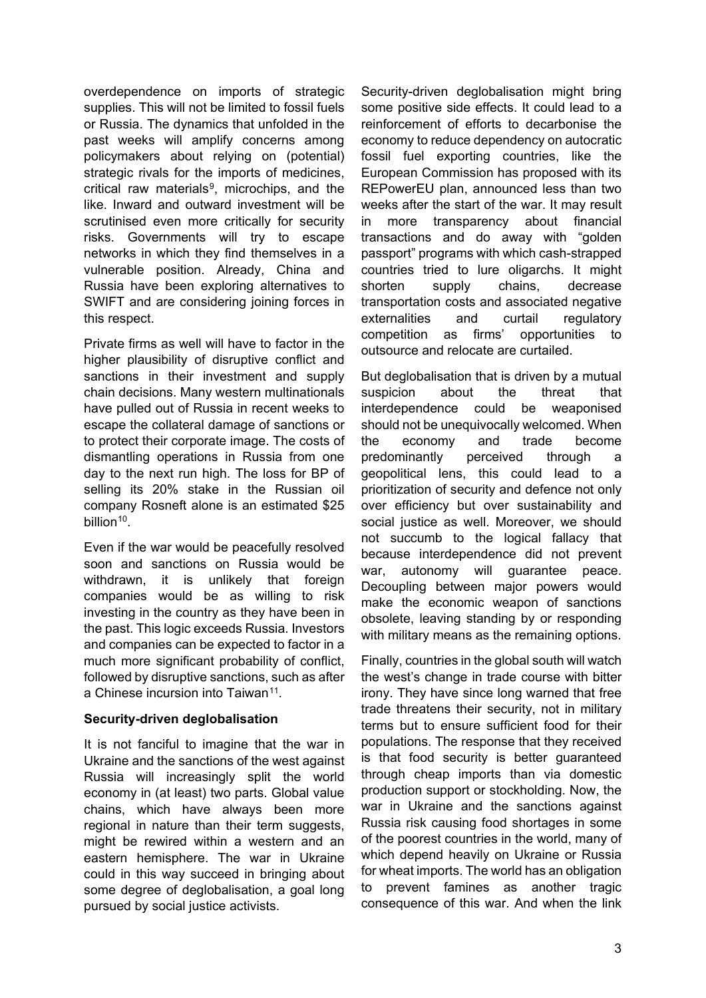overdependence on imports of strategic supplies. This will not be limited to fossil fuels or Russia. The dynamics that unfolded in the past weeks will amplify concerns among policymakers about relying on (potential) strategic rivals for the imports of medicines. critical raw materials<sup>9</sup>, microchips, and the like. Inward and outward investment will be scrutinised even more critically for security risks. Governments will try to escape networks in which they find themselves in a vulnerable position. Already, China and Russia have been exploring alternatives to SWIFT and are considering joining forces in this respect.

Private firms as well will have to factor in the higher plausibility of disruptive conflict and sanctions in their investment and supply chain decisions. Many western multinationals have pulled out of Russia in recent weeks to escape the collateral damage of sanctions or to protect their corporate image. The costs of dismantling operations in Russia from one day to the next run high. The loss for BP of selling its 20% stake in the Russian oil company Rosneft alone is an estimated \$25 billion<sup>10</sup>.

Even if the war would be peacefully resolved soon and sanctions on Russia would be withdrawn, it is unlikely that foreign companies would be as willing to risk investing in the country as they have been in the past. This logic exceeds Russia. Investors and companies can be expected to factor in a much more significant probability of conflict, followed by disruptive sanctions, such as after a Chinese incursion into Taiwan<sup>[11](#page-3-10)</sup>.

#### **Security-driven deglobalisation**

It is not fanciful to imagine that the war in Ukraine and the sanctions of the west against Russia will increasingly split the world economy in (at least) two parts. Global value chains, which have always been more regional in nature than their term suggests, might be rewired within a western and an eastern hemisphere. The war in Ukraine could in this way succeed in bringing about some degree of deglobalisation, a goal long pursued by social justice activists.

Security-driven deglobalisation might bring some positive side effects. It could lead to a reinforcement of efforts to decarbonise the economy to reduce dependency on autocratic fossil fuel exporting countries, like the European Commission has proposed with its REPowerEU plan, announced less than two weeks after the start of the war. It may result in more transparency about financial transactions and do away with "golden passport" programs with which cash-strapped countries tried to lure oligarchs. It might shorten supply chains, decrease transportation costs and associated negative externalities and curtail regulatory competition as firms' opportunities to outsource and relocate are curtailed.

But deglobalisation that is driven by a mutual suspicion about the threat that interdependence could be weaponised should not be unequivocally welcomed. When the economy and trade become predominantly perceived through a geopolitical lens, this could lead to a prioritization of security and defence not only over efficiency but over sustainability and social justice as well. Moreover, we should not succumb to the logical fallacy that because interdependence did not prevent war, autonomy will guarantee peace. Decoupling between major powers would make the economic weapon of sanctions obsolete, leaving standing by or responding with military means as the remaining options.

Finally, countries in the global south will watch the west's change in trade course with bitter irony. They have since long warned that free trade threatens their security, not in military terms but to ensure sufficient food for their populations. The response that they received is that food security is better guaranteed through cheap imports than via domestic production support or stockholding. Now, the war in Ukraine and the sanctions against Russia risk causing food shortages in some of the poorest countries in the world, many of which depend heavily on Ukraine or Russia for wheat imports. The world has an obligation to prevent famines as another tragic consequence of this war. And when the link